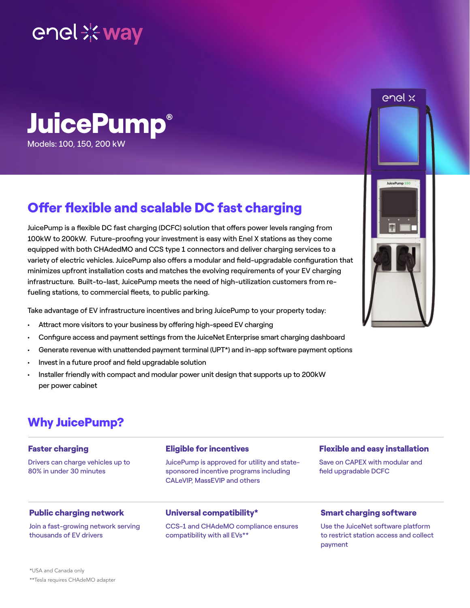# enel \* way



### Offer flexible and scalable DC fast charging

JuicePump is a flexible DC fast charging (DCFC) solution that offers power levels ranging from 100kW to 200kW. Future-proofing your investment is easy with Enel X stations as they come equipped with both CHAdedMO and CCS type 1 connectors and deliver charging services to a variety of electric vehicles. JuicePump also offers a modular and field-upgradable configuration that minimizes upfront installation costs and matches the evolving requirements of your EV charging infrastructure. Built-to-last, JuicePump meets the need of high-utilization customers from refueling stations, to commercial fleets, to public parking.

Take advantage of EV infrastructure incentives and bring JuicePump to your property today:

- Attract more visitors to your business by offering high-speed EV charging
- Configure access and payment settings from the JuiceNet Enterprise smart charging dashboard
- Generate revenue with unattended payment terminal (UPT\*) and in-app software payment options
- Invest in a future proof and field upgradable solution
- Installer friendly with compact and modular power unit design that supports up to 200kW per power cabinet

### Why JuicePump?

#### Faster charging

Drivers can charge vehicles up to 80% in under 30 minutes

#### Eligible for incentives

JuicePump is approved for utility and statesponsored incentive programs including CALeVIP, MassEVIP and others

#### Flexible and easy installation

Save on CAPEX with modular and field upgradable DCFC

#### Public charging network

Join a fast-growing network serving thousands of EV drivers

#### Universal compatibility\*

CCS-1 and CHAdeMO compliance ensures compatibility with all EVs\*\*

#### Smart charging software

Use the JuiceNet software platform to restrict station access and collect payment



enel x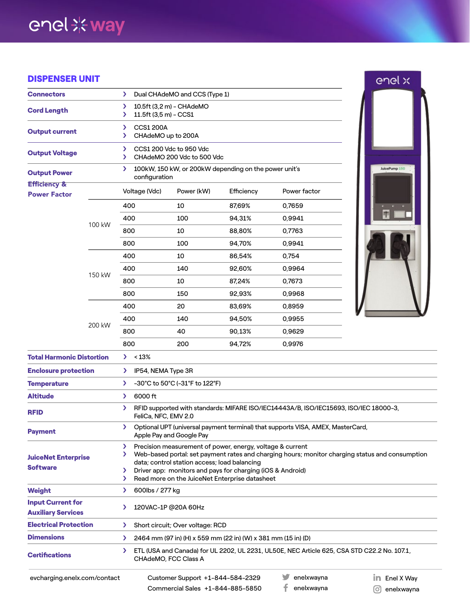## enel \*\* way

#### DISPENSER UNIT

| <b>DISPENSER UNIT</b>                                 |        |                                                                                                                                                                                                                        |                                                               |            |              | enel x               |  |
|-------------------------------------------------------|--------|------------------------------------------------------------------------------------------------------------------------------------------------------------------------------------------------------------------------|---------------------------------------------------------------|------------|--------------|----------------------|--|
| <b>Connectors</b>                                     |        | Dual CHAdeMO and CCS (Type 1)<br>$\sum$                                                                                                                                                                                |                                                               |            |              |                      |  |
| <b>Cord Length</b>                                    |        | 10.5ft (3,2 m) - CHAdeMO<br>⋗<br>11.5ft (3,5 m) - CCS1<br>⋗                                                                                                                                                            |                                                               |            |              |                      |  |
| <b>Output current</b>                                 |        | <b>CCS1 200A</b><br>⋗<br>CHAdeMO up to 200A<br>⋗                                                                                                                                                                       |                                                               |            |              |                      |  |
| <b>Output Voltage</b>                                 |        | CCS1 200 Vdc to 950 Vdc<br>$\mathcal{F}$<br>CHAdeMO 200 Vdc to 500 Vdc<br>$\mathcal{F}$                                                                                                                                |                                                               |            |              |                      |  |
| <b>Output Power</b>                                   |        | 100kW, 150 kW, or 200kW depending on the power unit's<br>JuicePump 150<br>⋗<br>configuration                                                                                                                           |                                                               |            |              |                      |  |
| <b>Efficiency &amp;</b><br><b>Power Factor</b>        |        | Voltage (Vdc)                                                                                                                                                                                                          | Power (kW)                                                    | Efficiency | Power factor |                      |  |
|                                                       |        | 400                                                                                                                                                                                                                    | 10                                                            | 87,69%     | 0,7659       |                      |  |
|                                                       | 100 kW | 400                                                                                                                                                                                                                    | 100                                                           | 94,31%     | 0,9941       |                      |  |
|                                                       |        | 800                                                                                                                                                                                                                    | 10                                                            | 88,80%     | 0.7763       |                      |  |
|                                                       |        | 800                                                                                                                                                                                                                    | 100                                                           | 94.70%     | 0,9941       |                      |  |
|                                                       |        | 400                                                                                                                                                                                                                    | 10                                                            | 86,54%     | 0,754        |                      |  |
|                                                       | 150 kW | 400                                                                                                                                                                                                                    | 140                                                           | 92,60%     | 0,9964       |                      |  |
|                                                       |        | 800                                                                                                                                                                                                                    | 10                                                            | 87,24%     | 0,7673       |                      |  |
|                                                       |        | 800                                                                                                                                                                                                                    | 150                                                           | 92,93%     | 0,9968       |                      |  |
|                                                       |        | 400                                                                                                                                                                                                                    | 20                                                            | 83,69%     | 0,8959       |                      |  |
|                                                       |        | 400                                                                                                                                                                                                                    | 140                                                           | 94,50%     | 0,9955       |                      |  |
|                                                       | 200 kW | 800                                                                                                                                                                                                                    | 40                                                            | 90,13%     | 0,9629       |                      |  |
|                                                       |        | 800                                                                                                                                                                                                                    | 200                                                           | 94,72%     | 0,9976       |                      |  |
| <b>Total Harmonic Distortion</b>                      |        | > 13%                                                                                                                                                                                                                  |                                                               |            |              |                      |  |
| <b>Enclosure protection</b>                           |        | IP54, NEMA Type 3R<br>⋗                                                                                                                                                                                                |                                                               |            |              |                      |  |
| <b>Temperature</b>                                    |        | -30°C to 50°C (-31°F to 122°F)<br>$\sum$                                                                                                                                                                               |                                                               |            |              |                      |  |
| <b>Altitude</b>                                       |        | 6000 ft<br>$\sum$                                                                                                                                                                                                      |                                                               |            |              |                      |  |
| <b>RFID</b>                                           |        | RFID supported with standards: MIFARE ISO/IEC14443A/B, ISO/IEC15693, ISO/IEC 18000-3,<br>⋗<br>FeliCa, NFC, EMV 2.0                                                                                                     |                                                               |            |              |                      |  |
| <b>Payment</b>                                        |        | Optional UPT (universal payment terminal) that supports VISA, AMEX, MasterCard,<br>⋗<br>Apple Pay and Google Pay                                                                                                       |                                                               |            |              |                      |  |
| <b>JuiceNet Enterprise</b><br><b>Software</b>         |        | Precision measurement of power, energy, voltage & current<br>⋗<br>Web-based portal: set payment rates and charging hours; monitor charging status and consumption<br>⋗<br>data; control station access; load balancing |                                                               |            |              |                      |  |
|                                                       |        | Driver app: monitors and pays for charging (iOS & Android)<br>⋗<br>Read more on the JuiceNet Enterprise datasheet<br>⋗                                                                                                 |                                                               |            |              |                      |  |
| Weight                                                |        | 600lbs / 277 kg<br>⋗                                                                                                                                                                                                   |                                                               |            |              |                      |  |
| <b>Input Current for</b><br><b>Auxiliary Services</b> |        | 120VAC-1P @20A 60Hz<br>⋗                                                                                                                                                                                               |                                                               |            |              |                      |  |
| <b>Electrical Protection</b>                          |        | ⋗                                                                                                                                                                                                                      | Short circuit; Over voltage: RCD                              |            |              |                      |  |
| <b>Dimensions</b>                                     |        | ⋗                                                                                                                                                                                                                      | 2464 mm (97 in) (H) x 559 mm (22 in) (W) x 381 mm (15 in) (D) |            |              |                      |  |
| <b>Certifications</b>                                 |        | ETL (USA and Canada) for UL 2202, UL 2231, UL50E, NEC Article 625, CSA STD C22.2 No. 107.1,<br>⋗<br>CHAdeMO, FCC Class A                                                                                               |                                                               |            |              |                      |  |
| evcharging.enelx.com/contact                          |        |                                                                                                                                                                                                                        | Customer Support +1-844-584-2329                              |            | enelxwayna   | <b>in</b> Enel X Way |  |

Enel X Way enelxwayna

Commercial Sales +1-844-885-5850

 $\mathbf{f}$  enelxwayna